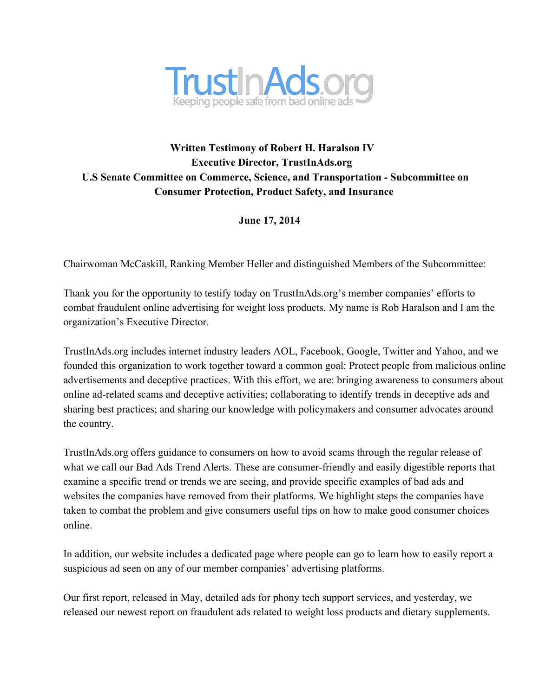

# **Written Testimony of Robert H. Haralson IV Executive Director, TrustInAds.org U.S Senate Committee on Commerce, Science, and Transportation - Subcommittee on Consumer Protection, Product Safety, and Insurance**

**June 17, 2014**

Chairwoman McCaskill, Ranking Member Heller and distinguished Members of the Subcommittee:

Thank you for the opportunity to testify today on TrustInAds.org's member companies' efforts to combat fraudulent online advertising for weight loss products. My name is Rob Haralson and I am the organization's Executive Director.

TrustInAds.org includes internet industry leaders AOL, Facebook, Google, Twitter and Yahoo, and we founded this organization to work together toward a common goal: Protect people from malicious online advertisements and deceptive practices. With this effort, we are: bringing awareness to consumers about online ad-related scams and deceptive activities; collaborating to identify trends in deceptive ads and sharing best practices; and sharing our knowledge with policymakers and consumer advocates around the country.

TrustInAds.org offers guidance to consumers on how to avoid scams through the regular release of what we call our Bad Ads Trend Alerts. These are consumer-friendly and easily digestible reports that examine a specific trend or trends we are seeing, and provide specific examples of bad ads and websites the companies have removed from their platforms. We highlight steps the companies have taken to combat the problem and give consumers useful tips on how to make good consumer choices online.

In addition, our website includes a dedicated page where people can go to learn how to easily report a suspicious ad seen on any of our member companies' advertising platforms.

Our first report, released in May, detailed ads for phony tech support services, and yesterday, we released our newest report on fraudulent ads related to weight loss products and dietary supplements.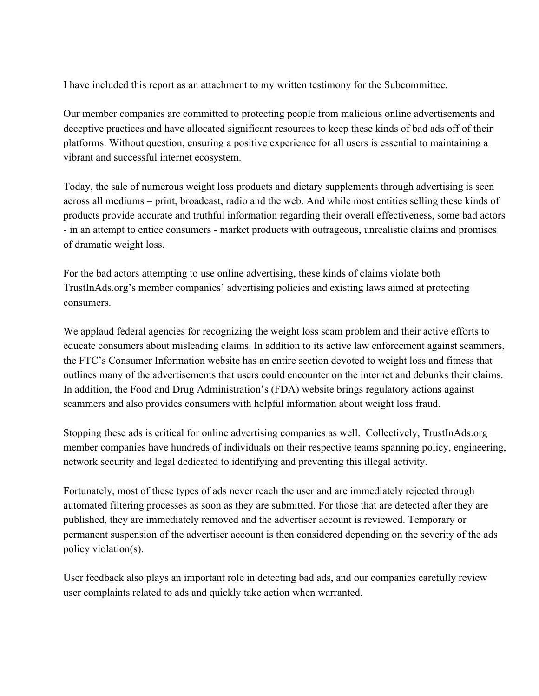I have included this report as an attachment to my written testimony for the Subcommittee.

Our member companies are committed to protecting people from malicious online advertisements and deceptive practices and have allocated significant resources to keep these kinds of bad ads off of their platforms. Without question, ensuring a positive experience for all users is essential to maintaining a vibrant and successful internet ecosystem.

Today, the sale of numerous weight loss products and dietary supplements through advertising is seen across all mediums – print, broadcast, radio and the web. And while most entities selling these kinds of products provide accurate and truthful information regarding their overall effectiveness, some bad actors - in an attempt to entice consumers - market products with outrageous, unrealistic claims and promises of dramatic weight loss.

For the bad actors attempting to use online advertising, these kinds of claims violate both TrustInAds.org's member companies' advertising policies and existing laws aimed at protecting consumers.

We applaud federal agencies for recognizing the weight loss scam problem and their active efforts to educate consumers about misleading claims. In addition to its active law enforcement against scammers, the FTC's Consumer Information website has an entire section devoted to weight loss and fitness that outlines many of the advertisements that users could encounter on the internet and debunks their claims. In addition, the Food and Drug Administration's (FDA) website brings regulatory actions against scammers and also provides consumers with helpful information about weight loss fraud.

Stopping these ads is critical for online advertising companies as well. Collectively, TrustInAds.org member companies have hundreds of individuals on their respective teams spanning policy, engineering, network security and legal dedicated to identifying and preventing this illegal activity.

Fortunately, most of these types of ads never reach the user and are immediately rejected through automated filtering processes as soon as they are submitted. For those that are detected after they are published, they are immediately removed and the advertiser account is reviewed. Temporary or permanent suspension of the advertiser account is then considered depending on the severity of the ads policy violation(s).

User feedback also plays an important role in detecting bad ads, and our companies carefully review user complaints related to ads and quickly take action when warranted.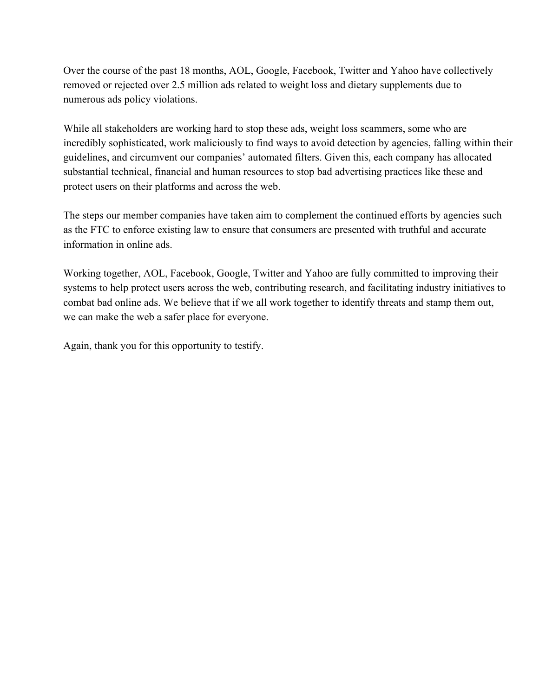Over the course of the past 18 months, AOL, Google, Facebook, Twitter and Yahoo have collectively removed or rejected over 2.5 million ads related to weight loss and dietary supplements due to numerous ads policy violations.

While all stakeholders are working hard to stop these ads, weight loss scammers, some who are incredibly sophisticated, work maliciously to find ways to avoid detection by agencies, falling within their guidelines, and circumvent our companies' automated filters. Given this, each company has allocated substantial technical, financial and human resources to stop bad advertising practices like these and protect users on their platforms and across the web.

The steps our member companies have taken aim to complement the continued efforts by agencies such as the FTC to enforce existing law to ensure that consumers are presented with truthful and accurate information in online ads.

Working together, AOL, Facebook, Google, Twitter and Yahoo are fully committed to improving their systems to help protect users across the web, contributing research, and facilitating industry initiatives to combat bad online ads. We believe that if we all work together to identify threats and stamp them out, we can make the web a safer place for everyone.

Again, thank you for this opportunity to testify.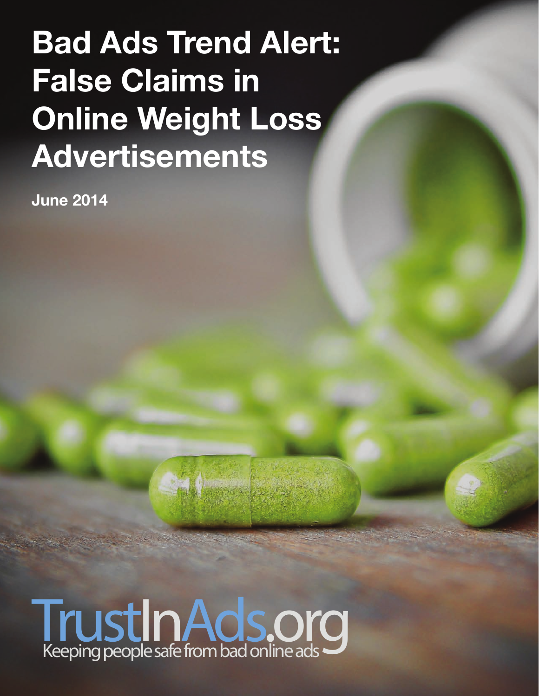# **Bad Ads Trend Alert: False Claims in Online Weight Loss Advertisements**

**June 2014**

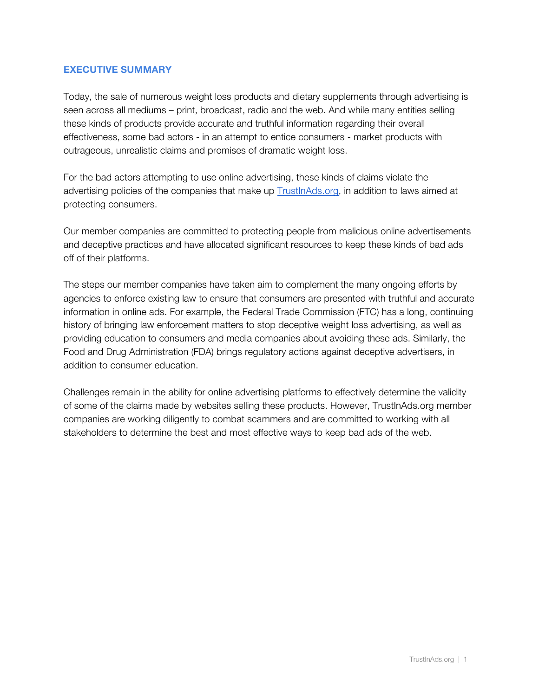#### **EXECUTIVE SUMMARY**

Today, the sale of numerous weight loss products and dietary supplements through advertising is seen across all mediums – print, broadcast, radio and the web. And while many entities selling these kinds of products provide accurate and truthful information regarding their overall effectiveness, some bad actors - in an attempt to entice consumers - market products with outrageous, unrealistic claims and promises of dramatic weight loss.

For the bad actors attempting to use online advertising, these kinds of claims violate the advertising policies of the companies that make up TrustInAds.org, in addition to laws aimed at protecting consumers.

Our member companies are committed to protecting people from malicious online advertisements and deceptive practices and have allocated significant resources to keep these kinds of bad ads off of their platforms.

The steps our member companies have taken aim to complement the many ongoing efforts by agencies to enforce existing law to ensure that consumers are presented with truthful and accurate information in online ads. For example, the Federal Trade Commission (FTC) has a long, continuing history of bringing law enforcement matters to stop deceptive weight loss advertising, as well as providing education to consumers and media companies about avoiding these ads. Similarly, the Food and Drug Administration (FDA) brings regulatory actions against deceptive advertisers, in addition to consumer education.

Challenges remain in the ability for online advertising platforms to effectively determine the validity of some of the claims made by websites selling these products. However, TrustInAds.org member companies are working diligently to combat scammers and are committed to working with all stakeholders to determine the best and most effective ways to keep bad ads of the web.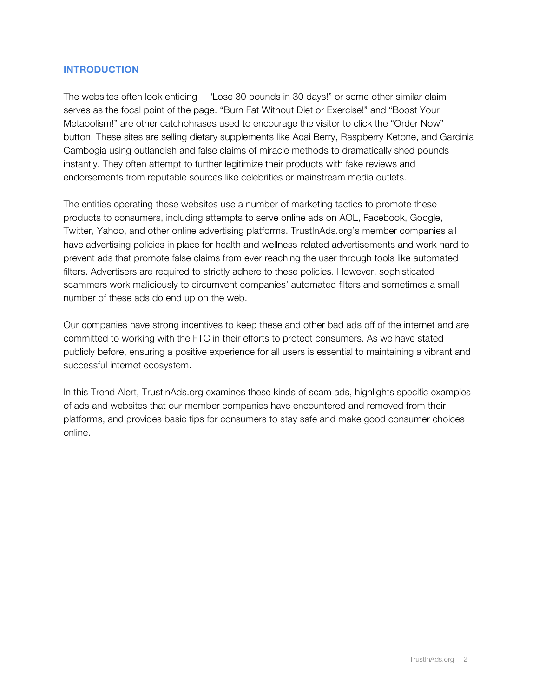#### **INTRODUCTION**

The websites often look enticing - "Lose 30 pounds in 30 days!" or some other similar claim serves as the focal point of the page. "Burn Fat Without Diet or Exercise!" and "Boost Your Metabolism!" are other catchphrases used to encourage the visitor to click the "Order Now" button. These sites are selling dietary supplements like Acai Berry, Raspberry Ketone, and Garcinia Cambogia using outlandish and false claims of miracle methods to dramatically shed pounds instantly. They often attempt to further legitimize their products with fake reviews and endorsements from reputable sources like celebrities or mainstream media outlets.

The entities operating these websites use a number of marketing tactics to promote these products to consumers, including attempts to serve online ads on AOL, Facebook, Google, Twitter, Yahoo, and other online advertising platforms. TrustInAds.org's member companies all have advertising policies in place for health and wellness-related advertisements and work hard to prevent ads that promote false claims from ever reaching the user through tools like automated filters. Advertisers are required to strictly adhere to these policies. However, sophisticated scammers work maliciously to circumvent companies' automated filters and sometimes a small number of these ads do end up on the web.

Our companies have strong incentives to keep these and other bad ads off of the internet and are committed to working with the FTC in their efforts to protect consumers. As we have stated publicly before, ensuring a positive experience for all users is essential to maintaining a vibrant and successful internet ecosystem.

In this Trend Alert, TrustInAds.org examines these kinds of scam ads, highlights specific examples of ads and websites that our member companies have encountered and removed from their platforms, and provides basic tips for consumers to stay safe and make good consumer choices online.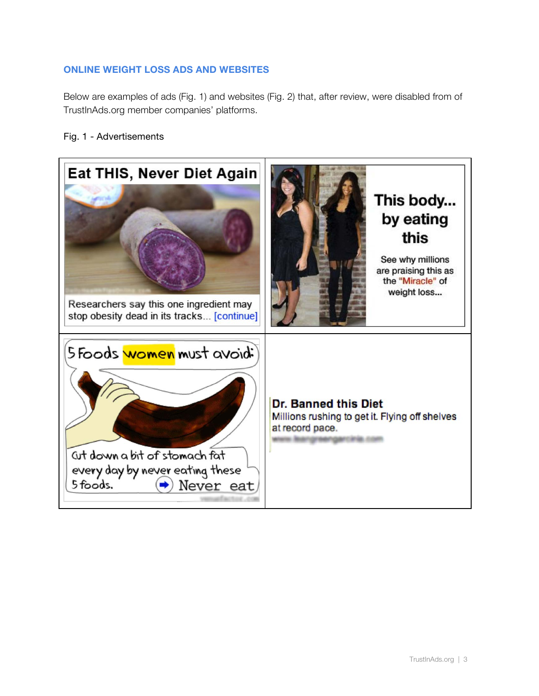### **ONLINE WEIGHT LOSS ADS AND WEBSITES**

Below are examples of ads (Fig. 1) and websites (Fig. 2) that, after review, were disabled from of TrustInAds.org member companies' platforms.

#### Fig. 1 - Advertisements

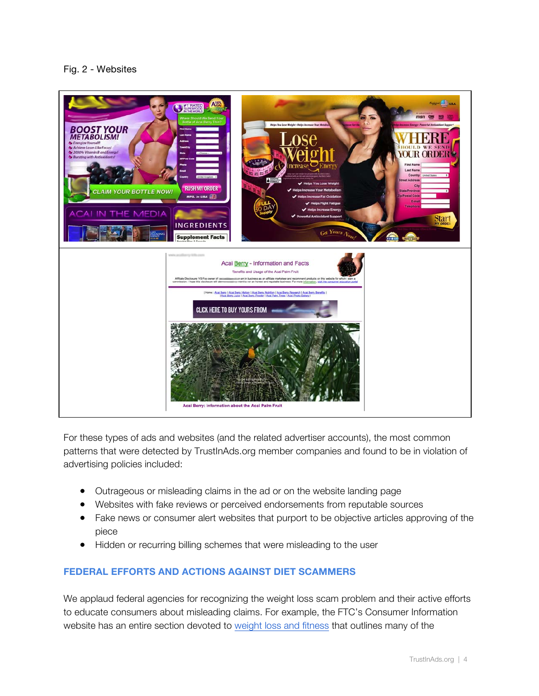#### Fig. 2 - Websites



For these types of ads and websites (and the related advertiser accounts), the most common patterns that were detected by TrustInAds.org member companies and found to be in violation of advertising policies included:

- Outrageous or misleading claims in the ad or on the website landing page
- Websites with fake reviews or perceived endorsements from reputable sources
- Fake news or consumer alert websites that purport to be objective articles approving of the piece
- Hidden or recurring billing schemes that were misleading to the user

## **FEDERAL EFFORTS AND ACTIONS AGAINST DIET SCAMMERS**

We applaud federal agencies for recognizing the weight loss scam problem and their active efforts to educate consumers about misleading claims. For example, the FTC's Consumer Information website has an entire section devoted to weight loss and fitness that outlines many of the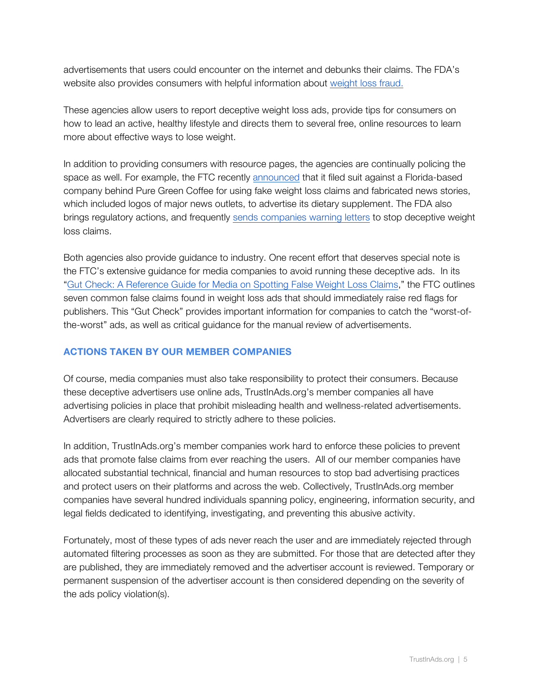advertisements that users could encounter on the internet and debunks their claims. The FDA's website also provides consumers with helpful information about weight loss fraud.

These agencies allow users to report deceptive weight loss ads, provide tips for consumers on how to lead an active, healthy lifestyle and directs them to several free, online resources to learn more about effective ways to lose weight.

In addition to providing consumers with resource pages, the agencies are continually policing the space as well. For example, the FTC recently announced that it filed suit against a Florida-based company behind Pure Green Coffee for using fake weight loss claims and fabricated news stories, which included logos of major news outlets, to advertise its dietary supplement. The FDA also brings regulatory actions, and frequently sends companies warning letters to stop deceptive weight loss claims.

Both agencies also provide guidance to industry. One recent effort that deserves special note is the FTC's extensive guidance for media companies to avoid running these deceptive ads. In its "Gut Check: A Reference Guide for Media on Spotting False Weight Loss Claims," the FTC outlines seven common false claims found in weight loss ads that should immediately raise red flags for publishers. This "Gut Check" provides important information for companies to catch the "worst-ofthe-worst" ads, as well as critical guidance for the manual review of advertisements.

### **ACTIONS TAKEN BY OUR MEMBER COMPANIES**

Of course, media companies must also take responsibility to protect their consumers. Because these deceptive advertisers use online ads, TrustInAds.org's member companies all have advertising policies in place that prohibit misleading health and wellness-related advertisements. Advertisers are clearly required to strictly adhere to these policies.

In addition, TrustInAds.org's member companies work hard to enforce these policies to prevent ads that promote false claims from ever reaching the users. All of our member companies have allocated substantial technical, financial and human resources to stop bad advertising practices and protect users on their platforms and across the web. Collectively, TrustInAds.org member companies have several hundred individuals spanning policy, engineering, information security, and legal fields dedicated to identifying, investigating, and preventing this abusive activity.

Fortunately, most of these types of ads never reach the user and are immediately rejected through automated filtering processes as soon as they are submitted. For those that are detected after they are published, they are immediately removed and the advertiser account is reviewed. Temporary or permanent suspension of the advertiser account is then considered depending on the severity of the ads policy violation(s).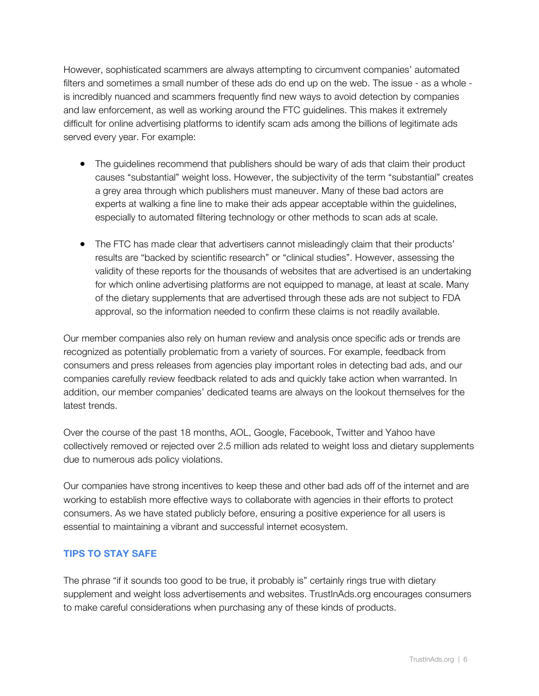However, sophisticated scammers are always attempting to circumvent companies' automated filters and sometimes a small number of these ads do end up on the web. The issue - as a whole is incredibly nuanced and scammers frequently find new ways to avoid detection by companies and law enforcement, as well as working around the FTC guidelines. This makes it extremely difficult for online advertising platforms to identify scam ads among the billions of legitimate ads served every year. For example:

- The guidelines recommend that publishers should be wary of ads that claim their product causes "substantial" weight loss. However, the subjectivity of the term "substantial" creates a grey area through which publishers must maneuver. Many of these bad actors are experts at walking a fine line to make their ads appear acceptable within the guidelines, especially to automated filtering technology or other methods to scan ads at scale.
- The FTC has made clear that advertisers cannot misleadingly claim that their products' results are "backed by scientific research" or "clinical studies". However, assessing the validity of these reports for the thousands of websites that are advertised is an undertaking for which online advertising platforms are not equipped to manage, at least at scale. Many of the dietary supplements that are advertised through these ads are not subject to FDA approval, so the information needed to confirm these claims is not readily available.

Our member companies also rely on human review and analysis once specific ads or trends are recognized as potentially problematic from a variety of sources. For example, feedback from consumers and press releases from agencies play important roles in detecting bad ads, and our companies carefully review feedback related to ads and quickly take action when warranted. In addition, our member companies' dedicated teams are always on the lookout themselves for the latest trends.

Over the course of the past 18 months, AOL, Google, Facebook, Twitter and Yahoo have collectively removed or rejected over 2.5 million ads related to weight loss and dietary supplements due to numerous ads policy violations.

Our companies have strong incentives to keep these and other bad ads off of the internet and are working to establish more effective ways to collaborate with agencies in their efforts to protect consumers. As we have stated publicly before, ensuring a positive experience for all users is essential to maintaining a vibrant and successful internet ecosystem.

## **TIPS TO STAY SAFE**

The phrase "if it sounds too good to be true, it probably is" certainly rings true with dietary supplement and weight loss advertisements and websites. TrustInAds.org encourages consumers to make careful considerations when purchasing any of these kinds of products.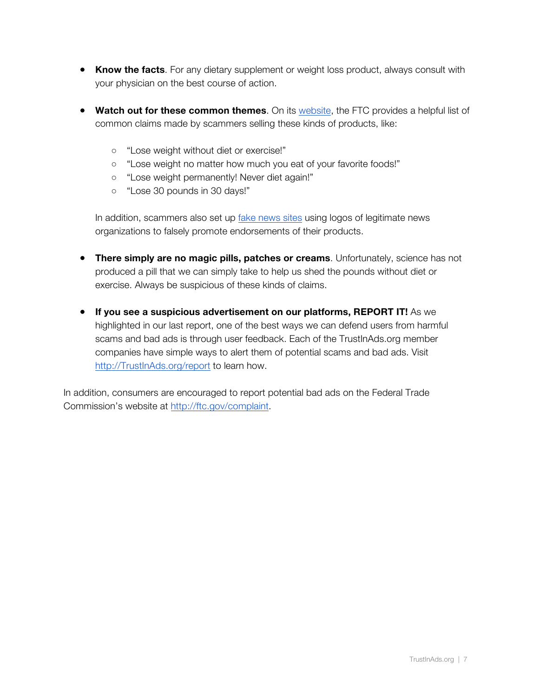- **Know the facts**. For any dietary supplement or weight loss product, always consult with your physician on the best course of action.
- **Watch out for these common themes**. On its website, the FTC provides a helpful list of common claims made by scammers selling these kinds of products, like:
	- "Lose weight without diet or exercise!"
	- o "Lose weight no matter how much you eat of your favorite foods!"
	- "Lose weight permanently! Never diet again!"
	- o "Lose 30 pounds in 30 days!"

In addition, scammers also set up fake news sites using logos of legitimate news organizations to falsely promote endorsements of their products.

- **There simply are no magic pills, patches or creams**. Unfortunately, science has not produced a pill that we can simply take to help us shed the pounds without diet or exercise. Always be suspicious of these kinds of claims.
- **If you see a suspicious advertisement on our platforms, REPORT IT!** As we highlighted in our last report, one of the best ways we can defend users from harmful scams and bad ads is through user feedback. Each of the TrustInAds.org member companies have simple ways to alert them of potential scams and bad ads. Visit http://TrustInAds.org/report to learn how.

In addition, consumers are encouraged to report potential bad ads on the Federal Trade Commission's website at http://ftc.gov/complaint.